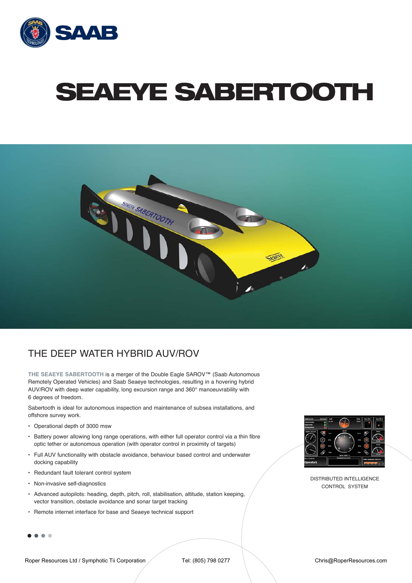

# **SEAEYE SABERTOOTH**



### THE DEEP WATER HYBRID AUV/ROV

**THE SEAEYE SABERTOOTH** is a merger of the Double Eagle SAROV™ (Saab Autonomous Remotely Operated Vehicles) and Saab Seaeye technologies, resulting in a hovering hybrid AUV/ROV with deep water capability, long excursion range and 360° manoeuvrability with 6 degrees of freedom.

Sabertooth is ideal for autonomous inspection and maintenance of subsea installations, and offshore survey work.

- Operational depth of 3000 msw
- Battery power allowing long range operations, with either full operator control via a thin fibre optic tether or autonomous operation (with operator control in proximity of targets)
- Full AUV functionality with obstacle avoidance, behaviour based control and underwater docking capability
- Redundant fault tolerant control system
- Non-invasive self-diagnostics
- Advanced autopilots: heading, depth, pitch, roll, stabilisation, altitude, station keeping, vector transition, obstacle avoidance and sonar target tracking
- Remote internet interface for base and Seaeye technical support

....



DISTRIBUTED INTELLIGENCE CONTROL SYSTEM

Roper Resources Ltd / Symphotic Tii Corporation Tel: (805) 798 0277 Chris@RoperResources.com